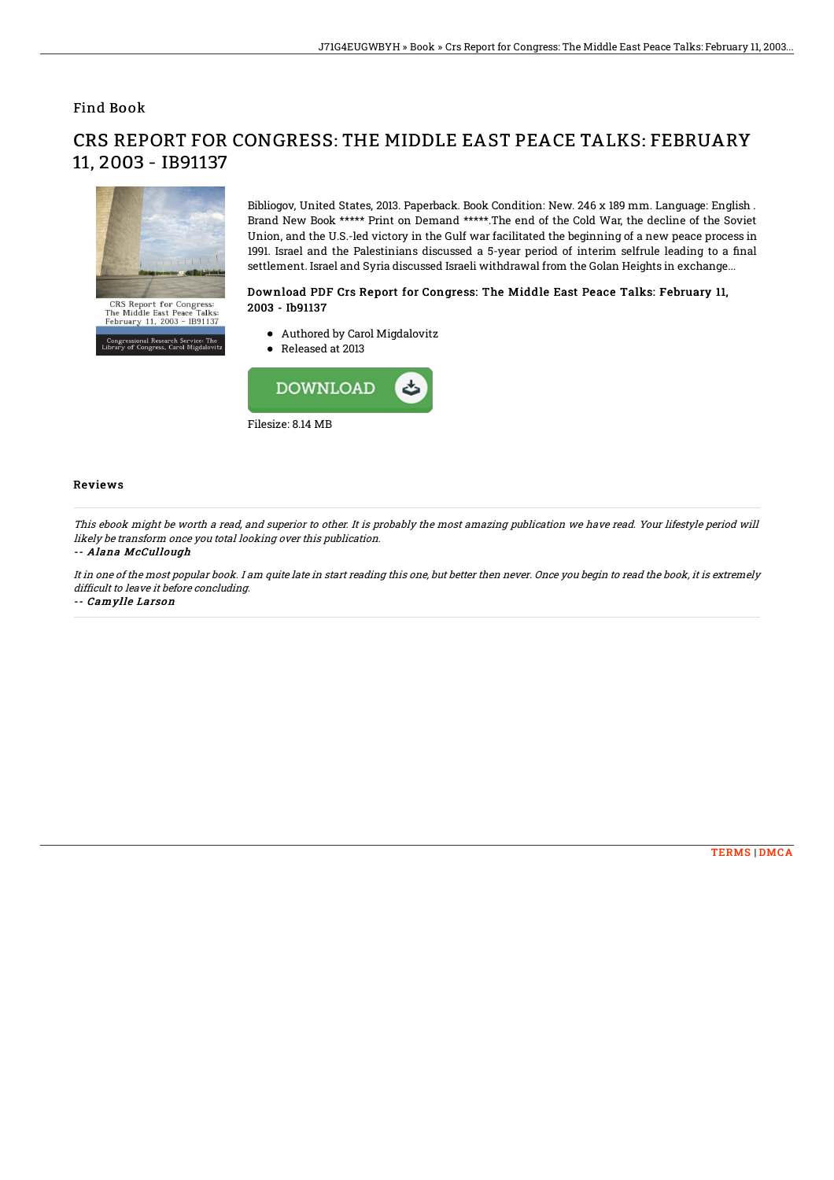Find Book

# CRS Report for Congress:<br>The Middle East Peace Talks:<br>February 11, 2003 - IB91137

.<br>19 pressional Research Service: The<br>1ry of Congress, Carol Migdalovi

11, 2003 - IB91137

Bibliogov, United States, 2013. Paperback. Book Condition: New. 246 x 189 mm. Language: English . Brand New Book \*\*\*\*\* Print on Demand \*\*\*\*\*.The end of the Cold War, the decline of the Soviet Union, and the U.S.-led victory in the Gulf war facilitated the beginning of a new peace process in 1991. Israel and the Palestinians discussed a 5-year period of interim selfrule leading to a final settlement. Israel and Syria discussed Israeli withdrawal from the Golan Heights in exchange...

## Download PDF Crs Report for Congress: The Middle East Peace Talks: February 11, 2003 - Ib91137

- Authored by Carol Migdalovitz
- Released at 2013



### Reviews

This ebook might be worth <sup>a</sup> read, and superior to other. It is probably the most amazing publication we have read. Your lifestyle period will likely be transform once you total looking over this publication.

CRS REPORT FOR CONGRESS: THE MIDDLE EAST PEACE TALKS: FEBRUARY

### -- Alana McCullough

It in one of the most popular book. I am quite late in start reading this one, but better then never. Once you begin to read the book, it is extremely difficult to leave it before concluding.

-- Camylle Larson